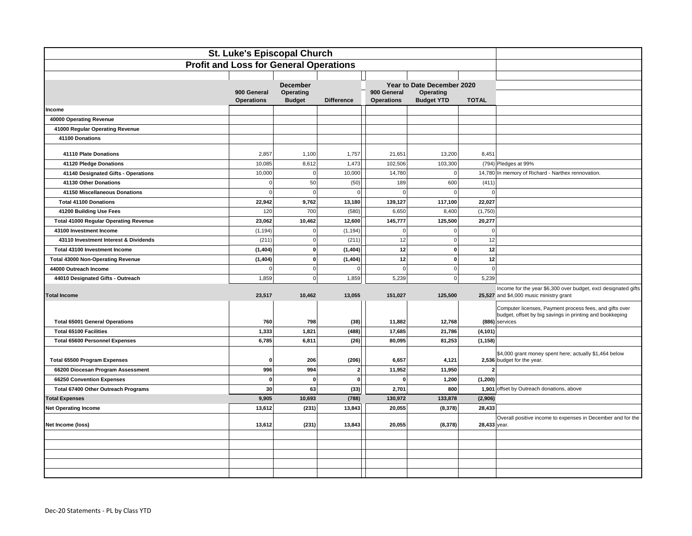| St. Luke's Episcopal Church                   |                                  |                            |                   |                                  |                                |                |                                                                                      |
|-----------------------------------------------|----------------------------------|----------------------------|-------------------|----------------------------------|--------------------------------|----------------|--------------------------------------------------------------------------------------|
| <b>Profit and Loss for General Operations</b> |                                  |                            |                   |                                  |                                |                |                                                                                      |
|                                               |                                  |                            |                   |                                  |                                |                |                                                                                      |
|                                               |                                  | <b>December</b>            |                   |                                  | Year to Date December 2020     |                |                                                                                      |
|                                               | 900 General<br><b>Operations</b> | Operating<br><b>Budget</b> | <b>Difference</b> | 900 General<br><b>Operations</b> | Operating<br><b>Budget YTD</b> | <b>TOTAL</b>   |                                                                                      |
| ncome                                         |                                  |                            |                   |                                  |                                |                |                                                                                      |
| 40000 Operating Revenue                       |                                  |                            |                   |                                  |                                |                |                                                                                      |
| 41000 Regular Operating Revenue               |                                  |                            |                   |                                  |                                |                |                                                                                      |
| 41100 Donations                               |                                  |                            |                   |                                  |                                |                |                                                                                      |
| 41110 Plate Donations                         | 2,857                            | 1,100                      | 1,757             | 21,651                           | 13,200                         | 8,451          |                                                                                      |
| 41120 Pledge Donations                        | 10,085                           | 8,612                      | 1,473             | 102,506                          | 103,300                        |                | (794) Pledges at 99%                                                                 |
| 41140 Designated Gifts - Operations           | 10,000                           | $\Omega$                   | 10,000            | 14,780                           | $\circ$                        |                | 14,780 In memory of Richard - Narthex rennovation.                                   |
| 41130 Other Donations                         | $\circ$                          | 50                         | (50)              | 189                              | 600                            | (411)          |                                                                                      |
| 41150 Miscellaneous Donations                 | $\overline{0}$                   | $\epsilon$                 | $\Omega$          | $\Omega$                         | $\Omega$                       | $\mathbf 0$    |                                                                                      |
| <b>Total 41100 Donations</b>                  | 22,942                           | 9,762                      | 13,180            | 139,127                          | 117,100                        | 22,027         |                                                                                      |
| 41200 Building Use Fees                       | 120                              | 700                        | (580)             | 6,650                            | 8,400                          | (1,750)        |                                                                                      |
| <b>Total 41000 Regular Operating Revenue</b>  | 23,062                           | 10,462                     | 12,600            | 145,777                          | 125,500                        | 20,277         |                                                                                      |
| 43100 Investment Income                       | (1, 194)                         | $\Omega$                   | (1, 194)          | $\Omega$                         | $\Omega$                       | $\mathbf 0$    |                                                                                      |
| 43110 Investment Interest & Dividends         | (211)                            | $\Omega$                   | (211)             | 12                               | $\Omega$                       | 12             |                                                                                      |
| Total 43100 Investment Income                 | (1, 404)                         | $\mathbf 0$                | (1, 404)          | 12                               | $\mathbf{0}$                   | 12             |                                                                                      |
| <b>Total 43000 Non-Operating Revenue</b>      | (1, 404)                         | $\Omega$                   | (1, 404)          | 12                               | 0                              | 12             |                                                                                      |
| 44000 Outreach Income                         | $\Omega$                         | $\Omega$                   | $\mathbf 0$       | $\mathbf 0$                      | $\Omega$                       | $\mathbf 0$    |                                                                                      |
| 44010 Designated Gifts - Outreach             | 1,859                            | $\Omega$                   | 1,859             | 5,239                            | $\Omega$                       | 5,239          |                                                                                      |
|                                               |                                  |                            |                   |                                  |                                |                | Income for the year \$6,300 over budget, excl designated gifts                       |
| <b>Total Income</b>                           | 23,517                           | 10,462                     | 13,055            | 151,027                          | 125,500                        |                | 25,527 and \$4,000 music ministry grant                                              |
|                                               |                                  |                            |                   |                                  |                                |                | Computer licenses, Payment process fees, and gifts over                              |
| <b>Total 65001 General Operations</b>         | 760                              | 798                        | (38)              | 11,882                           | 12,768                         |                | budget, offset by big savings in printing and bookkeping<br>(886) services           |
| <b>Total 65100 Facilities</b>                 | 1,333                            | 1,821                      | (488)             | 17,685                           | 21,786                         | (4, 101)       |                                                                                      |
| <b>Total 65600 Personnel Expenses</b>         | 6,785                            | 6,811                      | (26)              | 80,095                           | 81,253                         | (1, 158)       |                                                                                      |
|                                               |                                  |                            |                   |                                  |                                |                |                                                                                      |
| <b>Total 65500 Program Expenses</b>           | $\Omega$                         | 206                        | (206)             | 6,657                            | 4,121                          |                | \$4,000 grant money spent here; actually \$1,464 below<br>2,536 budget for the year. |
| 66200 Diocesan Program Assessment             | 996                              | 994                        | $\mathbf{2}$      | 11,952                           | 11,950                         | $\overline{2}$ |                                                                                      |
| 66250 Convention Expenses                     | $\mathbf{0}$                     | $\Omega$                   | $\mathbf{0}$      | $\mathbf{0}$                     | 1,200                          | (1, 200)       |                                                                                      |
| Total 67400 Other Outreach Programs           | 30 <sup>1</sup>                  | 63                         | (33)              | 2,701                            | 800                            |                | 1,901 offset by Outreach donations, above                                            |
| <b>Total Expenses</b>                         | 9,905                            | 10,693                     | (788)             | 130,972                          | 133,878                        | (2,906)        |                                                                                      |
| <b>Net Operating Income</b>                   | 13,612                           | (231)                      | 13,843            | 20,055                           | (8, 378)                       | 28,433         |                                                                                      |
|                                               |                                  |                            |                   |                                  |                                |                | Overall positive income to expenses in December and for the                          |
| Net Income (loss)                             | 13,612                           | (231)                      | 13,843            | 20,055                           | (8,378)                        | 28,433 year.   |                                                                                      |
|                                               |                                  |                            |                   |                                  |                                |                |                                                                                      |
|                                               |                                  |                            |                   |                                  |                                |                |                                                                                      |
|                                               |                                  |                            |                   |                                  |                                |                |                                                                                      |
|                                               |                                  |                            |                   |                                  |                                |                |                                                                                      |
|                                               |                                  |                            |                   |                                  |                                |                |                                                                                      |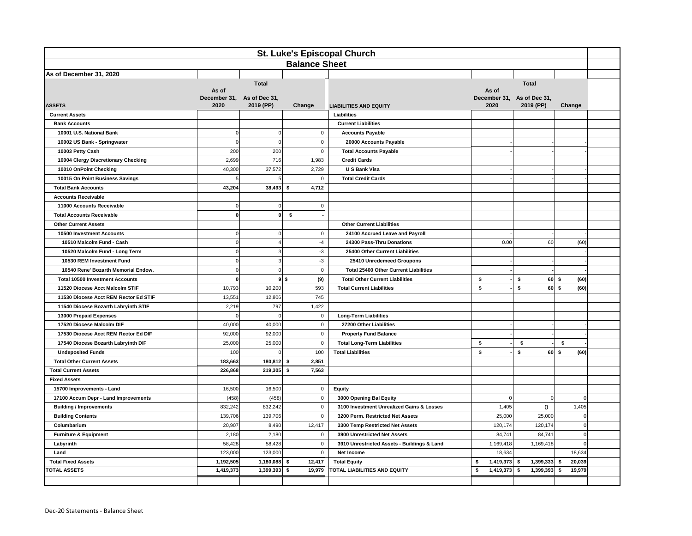| <b>St. Luke's Episcopal Church</b>      |                   |                                         |                |                                                                      |                   |                                         |                      |  |
|-----------------------------------------|-------------------|-----------------------------------------|----------------|----------------------------------------------------------------------|-------------------|-----------------------------------------|----------------------|--|
| <b>Balance Sheet</b>                    |                   |                                         |                |                                                                      |                   |                                         |                      |  |
| As of December 31, 2020                 |                   |                                         |                |                                                                      |                   |                                         |                      |  |
|                                         |                   | <b>Total</b>                            |                |                                                                      |                   | <b>Total</b>                            |                      |  |
|                                         | As of             |                                         |                |                                                                      | As of             |                                         |                      |  |
| <b>ASSETS</b>                           | 2020              | December 31, As of Dec 31,<br>2019 (PP) | Change         | <b>LIABILITIES AND EQUITY</b>                                        | 2020              | December 31, As of Dec 31,<br>2019 (PP) | Change               |  |
| <b>Current Assets</b>                   |                   |                                         |                | Liabilities                                                          |                   |                                         |                      |  |
| <b>Bank Accounts</b>                    |                   |                                         |                | <b>Current Liabilities</b>                                           |                   |                                         |                      |  |
| 10001 U.S. National Bank                | $\mathbf 0$       | $\mathbf 0$                             | $\overline{0}$ | <b>Accounts Payable</b>                                              |                   |                                         |                      |  |
| 10002 US Bank - Springwater             | $\mathbf 0$       | $\Omega$                                | $\circ$        | 20000 Accounts Payable                                               |                   |                                         |                      |  |
| 10003 Petty Cash                        | 200               | 200                                     | $\overline{0}$ | <b>Total Accounts Payable</b>                                        |                   |                                         |                      |  |
| 10004 Clergy Discretionary Checking     | 2,699             | 716                                     | 1,983          | <b>Credit Cards</b>                                                  |                   |                                         |                      |  |
| 10010 OnPoint Checking                  | 40,300            | 37,572                                  | 2,729          | <b>U S Bank Visa</b>                                                 |                   |                                         |                      |  |
| 10015 On Point Business Savings         | 5                 | 5                                       | $\overline{0}$ | <b>Total Credit Cards</b>                                            |                   |                                         |                      |  |
| <b>Total Bank Accounts</b>              | 43,204            | 38,493                                  | 4,712<br>-\$   |                                                                      |                   |                                         |                      |  |
| <b>Accounts Receivable</b>              |                   |                                         |                |                                                                      |                   |                                         |                      |  |
| 11000 Accounts Receivable               | $\mathbf 0$       | $\mathbf 0$                             | $\circ$        |                                                                      |                   |                                         |                      |  |
| <b>Total Accounts Receivable</b>        | $\mathbf{0}$      | $\mathbf{0}$                            | \$             |                                                                      |                   |                                         |                      |  |
| <b>Other Current Assets</b>             |                   |                                         |                | <b>Other Current Liabilities</b>                                     |                   |                                         |                      |  |
| 10500 Investment Accounts               | $\mathbf 0$       | $\mathbf 0$                             | $\overline{0}$ | 24100 Accrued Leave and Payroll                                      |                   |                                         |                      |  |
| 10510 Malcolm Fund - Cash               | $\mathbf 0$       | $\overline{4}$                          | $-4$           | 24300 Pass-Thru Donations                                            | 0.00              | 60                                      | (60)                 |  |
| 10520 Malcolm Fund - Long Term          | $\mathbf 0$       | 3                                       | $-3$           | 25400 Other Current Liabilities                                      |                   |                                         |                      |  |
| 10530 REM Investment Fund               | $\mathbf 0$       | 3                                       | $-3$           | 25410 Unredemeed Groupons                                            |                   |                                         |                      |  |
| 10540 Rene' Bozarth Memorial Endow.     | $\mathbf 0$       | $\mathbf 0$                             | 0              | <b>Total 25400 Other Current Liabilities</b>                         |                   |                                         |                      |  |
| <b>Total 10500 Investment Accounts</b>  | $\mathbf{0}$      | $9$ \$                                  | (9)            | <b>Total Other Current Liabilities</b>                               | \$                | \$                                      | (60)<br>$60 \mid S$  |  |
| 11520 Diocese Acct Malcolm STIF         | 10,793            | 10,200                                  | 593            | <b>Total Current Liabilities</b>                                     | \$                | s.                                      | 60 S<br>(60)         |  |
| 11530 Diocese Acct REM Rector Ed STIF   | 13,551            | 12,806                                  | 745            |                                                                      |                   |                                         |                      |  |
| 11540 Diocese Bozarth Labryinth STIF    | 2,219             | 797                                     | 1,422          |                                                                      |                   |                                         |                      |  |
| 13000 Prepaid Expenses                  | $\Omega$          | $\Omega$                                | $\circ$        | <b>Long-Term Liabilities</b>                                         |                   |                                         |                      |  |
| 17520 Diocese Malcolm DIF               | 40,000            | 40,000                                  | $\circ$        | 27200 Other Liabilities                                              |                   |                                         |                      |  |
| 17530 Diocese Acct REM Rector Ed DIF    | 92,000            | 92.000                                  | $\overline{0}$ | <b>Property Fund Balance</b>                                         |                   |                                         |                      |  |
| 17540 Diocese Bozarth Labryinth DIF     | 25,000            | 25,000                                  | $\circ$        | <b>Total Long-Term Liabilities</b>                                   | \$                | \$                                      | \$                   |  |
| <b>Undeposited Funds</b>                | 100               | $\Omega$                                | 100            | <b>Total Liabilities</b>                                             | \$                | \$                                      | 60 \$<br>(60)        |  |
| <b>Total Other Current Assets</b>       | 183,663           | 180,812                                 | 2,851<br>-\$   |                                                                      |                   |                                         |                      |  |
| <b>Total Current Assets</b>             | 226,868           | 219,305                                 | 7,563<br>-\$   |                                                                      |                   |                                         |                      |  |
| <b>Fixed Assets</b>                     |                   |                                         |                |                                                                      |                   |                                         |                      |  |
| 15700 Improvements - Land               | 16,500            | 16,500                                  | 0 <br>$\circ$  | Equity                                                               | $\mathbf 0$       | $\Omega$                                | $\mathbf 0$          |  |
| 17100 Accum Depr - Land Improvements    | (458)             | (458)                                   | $\circ$        | 3000 Opening Bal Equity<br>3100 Investment Unrealized Gains & Losses |                   |                                         |                      |  |
| <b>Building / Improvements</b>          | 832,242           | 832,242                                 | $\mathbf{0}$   |                                                                      | 1,405             | 0                                       | 1,405<br>$\mathbf 0$ |  |
| <b>Building Contents</b><br>Columbarium | 139,706<br>20,907 | 139,706<br>8,490                        | 12,417         | 3200 Perm. Restricted Net Assets<br>3300 Temp Restricted Net Assets  | 25,000<br>120,174 | 25,000<br>120,174                       | $\mathbf 0$          |  |
| <b>Furniture &amp; Equipment</b>        | 2,180             | 2,180                                   | $\circ$        | 3900 Unrestricted Net Assets                                         | 84,741            | 84,741                                  | $\Omega$             |  |
| Labyrinth                               | 58,428            | 58,428                                  | $\overline{0}$ | 3910 Unrestricted Assets - Buildings & Land                          | 1,169,418         | 1,169,418                               | $\Omega$             |  |
| Land                                    | 123,000           | 123,000                                 | $\overline{0}$ | Net Income                                                           | 18,634            |                                         | 18,634               |  |
| <b>Total Fixed Assets</b>               | 1,192,505         | 1,180,088                               | 12,417<br>\$   | <b>Total Equity</b>                                                  | \$<br>1,419,373   | 1,399,333<br>\$                         | -\$<br>20,039        |  |
| <b>TOTAL ASSETS</b>                     | 1,419,373         | 1,399,393                               | \$<br>19,979   | TOTAL LIABILITIES AND EQUITY                                         | 1,419,373<br>\$   | 1,399,393<br>\$                         | 19,979<br>\$         |  |
|                                         |                   |                                         |                |                                                                      |                   |                                         |                      |  |
|                                         |                   |                                         |                |                                                                      |                   |                                         |                      |  |